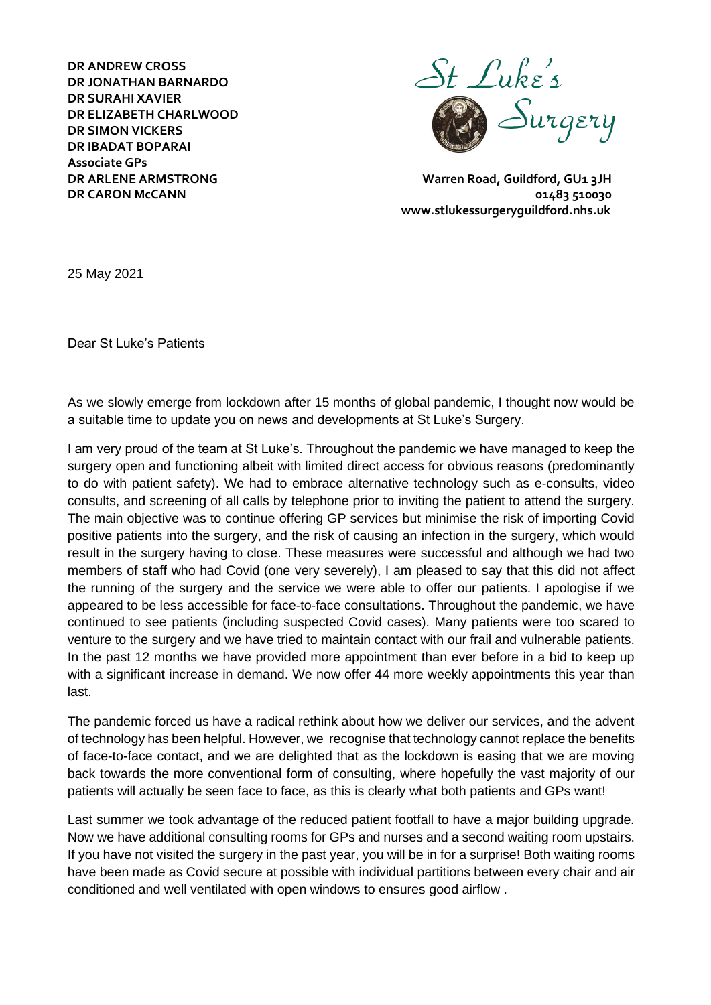**DR ANDREW CROSS DR JONATHAN BARNARDO DR SURAHI XAVIER DR ELIZABETH CHARLWOOD DR SIMON VICKERS DR IBADAT BOPARAI Associate GPs** 



**DR ARLENE ARMSTRONG Warren Road, Guildford, GU1 3JH DR CARON McCANN 102483 510030 www.stlukessurgeryguildford.nhs.uk** 

25 May 2021

Dear St Luke's Patients

As we slowly emerge from lockdown after 15 months of global pandemic, I thought now would be a suitable time to update you on news and developments at St Luke's Surgery.

I am very proud of the team at St Luke's. Throughout the pandemic we have managed to keep the surgery open and functioning albeit with limited direct access for obvious reasons (predominantly to do with patient safety). We had to embrace alternative technology such as e-consults, video consults, and screening of all calls by telephone prior to inviting the patient to attend the surgery. The main objective was to continue offering GP services but minimise the risk of importing Covid positive patients into the surgery, and the risk of causing an infection in the surgery, which would result in the surgery having to close. These measures were successful and although we had two members of staff who had Covid (one very severely), I am pleased to say that this did not affect the running of the surgery and the service we were able to offer our patients. I apologise if we appeared to be less accessible for face-to-face consultations. Throughout the pandemic, we have continued to see patients (including suspected Covid cases). Many patients were too scared to venture to the surgery and we have tried to maintain contact with our frail and vulnerable patients. In the past 12 months we have provided more appointment than ever before in a bid to keep up with a significant increase in demand. We now offer 44 more weekly appointments this year than last.

The pandemic forced us have a radical rethink about how we deliver our services, and the advent of technology has been helpful. However, we recognise that technology cannot replace the benefits of face-to-face contact, and we are delighted that as the lockdown is easing that we are moving back towards the more conventional form of consulting, where hopefully the vast majority of our patients will actually be seen face to face, as this is clearly what both patients and GPs want!

Last summer we took advantage of the reduced patient footfall to have a major building upgrade. Now we have additional consulting rooms for GPs and nurses and a second waiting room upstairs. If you have not visited the surgery in the past year, you will be in for a surprise! Both waiting rooms have been made as Covid secure at possible with individual partitions between every chair and air conditioned and well ventilated with open windows to ensures good airflow .